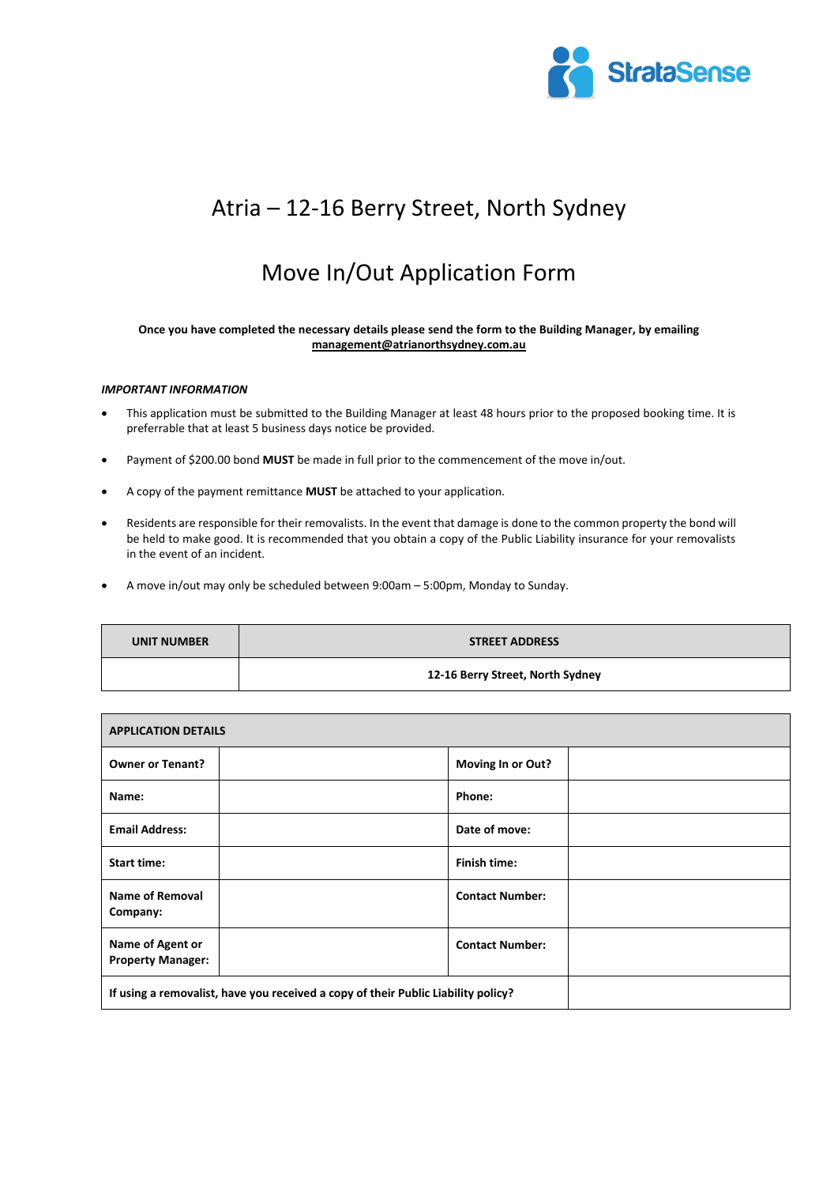

# Atria – 12-16 Berry Street, North Sydney

# Move In/Out Application Form

#### **Once you have completed the necessary details please send the form to the Building Manager, by emailing [management@atrianorthsydney.com.au](mailto:management@atrianorthsydney.com.au)**

#### *IMPORTANT INFORMATION*

- This application must be submitted to the Building Manager at least 48 hours prior to the proposed booking time. It is preferrable that at least 5 business days notice be provided.
- Payment of \$200.00 bond **MUST** be made in full prior to the commencement of the move in/out.
- A copy of the payment remittance **MUST** be attached to your application.
- Residents are responsible for their removalists. In the event that damage is done to the common property the bond will be held to make good. It is recommended that you obtain a copy of the Public Liability insurance for your removalists in the event of an incident.
- A move in/out may only be scheduled between 9:00am 5:00pm, Monday to Sunday.

| UNIT NUMBER | <b>STREET ADDRESS</b>            |  |
|-------------|----------------------------------|--|
|             | 12-16 Berry Street, North Sydney |  |

| <b>APPLICATION DETAILS</b>                                                        |  |                        |  |  |  |
|-----------------------------------------------------------------------------------|--|------------------------|--|--|--|
| <b>Owner or Tenant?</b>                                                           |  | Moving In or Out?      |  |  |  |
| Name:                                                                             |  | Phone:                 |  |  |  |
| <b>Email Address:</b>                                                             |  | Date of move:          |  |  |  |
| <b>Start time:</b>                                                                |  | <b>Finish time:</b>    |  |  |  |
| <b>Name of Removal</b><br>Company:                                                |  | <b>Contact Number:</b> |  |  |  |
| Name of Agent or<br><b>Property Manager:</b>                                      |  | <b>Contact Number:</b> |  |  |  |
| If using a removalist, have you received a copy of their Public Liability policy? |  |                        |  |  |  |